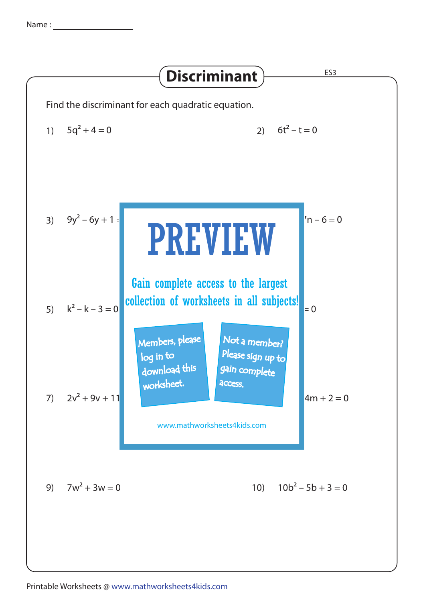